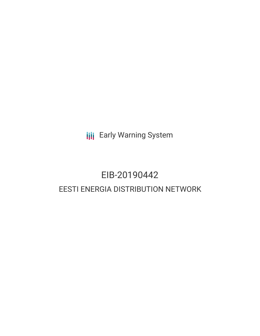**III** Early Warning System

# EIB-20190442 EESTI ENERGIA DISTRIBUTION NETWORK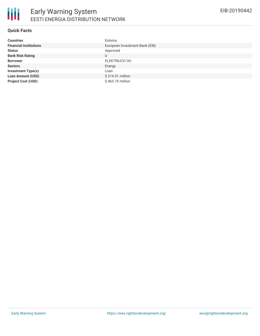

#### **Quick Facts**

| <b>Countries</b>              | Estonia                        |
|-------------------------------|--------------------------------|
| <b>Financial Institutions</b> | European Investment Bank (EIB) |
| <b>Status</b>                 | Approved                       |
| <b>Bank Risk Rating</b>       | U                              |
| <b>Borrower</b>               | ELEKTRILEVI OU                 |
| <b>Sectors</b>                | Energy                         |
| <b>Investment Type(s)</b>     | Loan                           |
| <b>Loan Amount (USD)</b>      | \$214.51 million               |
| <b>Project Cost (USD)</b>     | \$465.79 million               |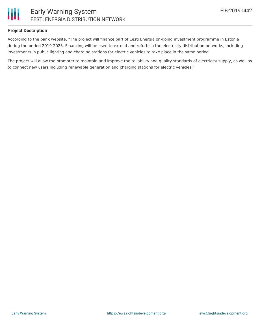

### **Project Description**

According to the bank website, "The project will finance part of Eesti Energia on-going investment programme in Estonia during the period 2019-2023. Financing will be used to extend and refurbish the electricity distribution networks, including investments in public lighting and charging stations for electric vehicles to take place in the same period.

The project will allow the promoter to maintain and improve the reliability and quality standards of electricity supply, as well as to connect new users including renewable generation and charging stations for electric vehicles."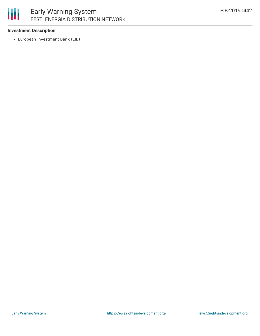# 冊 Early Warning System EESTI ENERGIA DISTRIBUTION NETWORK

#### **Investment Description**

European Investment Bank (EIB)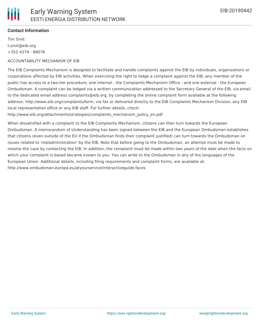# **Contact Information**

Tim Smit t.smit@eib.org +352 4379 - 89076

#### ACCOUNTABILITY MECHANISM OF EIB

The EIB Complaints Mechanism is designed to facilitate and handle complaints against the EIB by individuals, organizations or corporations affected by EIB activities. When exercising the right to lodge a complaint against the EIB, any member of the public has access to a two-tier procedure, one internal - the Complaints Mechanism Office - and one external - the European Ombudsman. A complaint can be lodged via a written communication addressed to the Secretary General of the EIB, via email to the dedicated email address complaints@eib.org, by completing the online complaint form available at the following address: http://www.eib.org/complaints/form, via fax or delivered directly to the EIB Complaints Mechanism Division, any EIB local representation office or any EIB staff. For further details, check:

http://www.eib.org/attachments/strategies/complaints\_mechanism\_policy\_en.pdf

When dissatisfied with a complaint to the EIB Complaints Mechanism, citizens can then turn towards the European Ombudsman. A memorandum of Understanding has been signed between the EIB and the European Ombudsman establishes that citizens (even outside of the EU if the Ombudsman finds their complaint justified) can turn towards the Ombudsman on issues related to 'maladministration' by the EIB. Note that before going to the Ombudsman, an attempt must be made to resolve the case by contacting the EIB. In addition, the complaint must be made within two years of the date when the facts on which your complaint is based became known to you. You can write to the Ombudsman in any of the languages of the European Union. Additional details, including filing requirements and complaint forms, are available at: http://www.ombudsman.europa.eu/atyourservice/interactiveguide.faces